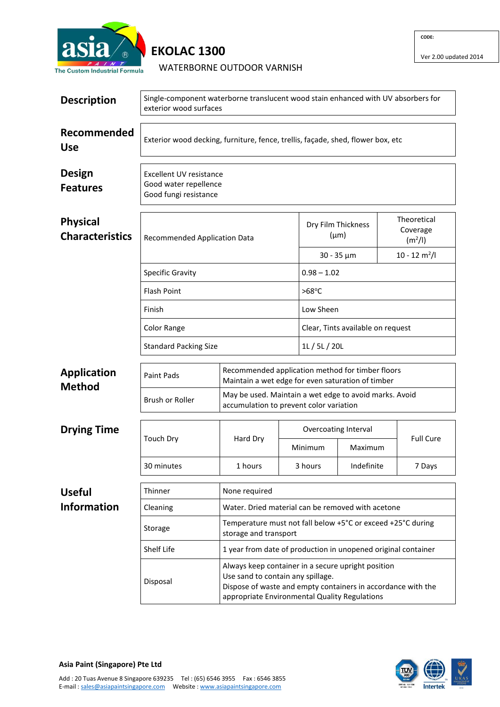

## **EKOLAC 1300**

WATERBORNE OUTDOOR VARNISH

Ver 2.00 updated 2014

| <b>Description</b>                        | Single-component waterborne translucent wood stain enhanced with UV absorbers for<br>exterior wood surfaces |                                                                                                                                                                                                          |                                                               |                                                                                                                                                                                                            |                                   |                                                |  |  |
|-------------------------------------------|-------------------------------------------------------------------------------------------------------------|----------------------------------------------------------------------------------------------------------------------------------------------------------------------------------------------------------|---------------------------------------------------------------|------------------------------------------------------------------------------------------------------------------------------------------------------------------------------------------------------------|-----------------------------------|------------------------------------------------|--|--|
| Recommended<br><b>Use</b>                 | Exterior wood decking, furniture, fence, trellis, façade, shed, flower box, etc                             |                                                                                                                                                                                                          |                                                               |                                                                                                                                                                                                            |                                   |                                                |  |  |
| <b>Design</b><br><b>Features</b>          | <b>Excellent UV resistance</b><br>Good water repellence<br>Good fungi resistance                            |                                                                                                                                                                                                          |                                                               |                                                                                                                                                                                                            |                                   |                                                |  |  |
| <b>Physical</b><br><b>Characteristics</b> | Recommended Application Data                                                                                |                                                                                                                                                                                                          |                                                               | Dry Film Thickness<br>$(\mu m)$                                                                                                                                                                            |                                   | Theoretical<br>Coverage<br>(m <sup>2</sup> /I) |  |  |
|                                           |                                                                                                             |                                                                                                                                                                                                          |                                                               | $30 - 35 \mu m$                                                                                                                                                                                            |                                   | $10 - 12$ m <sup>2</sup> /l                    |  |  |
|                                           | <b>Specific Gravity</b>                                                                                     |                                                                                                                                                                                                          |                                                               | $0.98 - 1.02$                                                                                                                                                                                              |                                   |                                                |  |  |
|                                           | <b>Flash Point</b>                                                                                          |                                                                                                                                                                                                          |                                                               |                                                                                                                                                                                                            |                                   |                                                |  |  |
|                                           | Finish                                                                                                      |                                                                                                                                                                                                          |                                                               | Low Sheen                                                                                                                                                                                                  |                                   |                                                |  |  |
|                                           | Color Range                                                                                                 |                                                                                                                                                                                                          |                                                               |                                                                                                                                                                                                            | Clear, Tints available on request |                                                |  |  |
|                                           | <b>Standard Packing Size</b>                                                                                |                                                                                                                                                                                                          |                                                               | 1L / 5L / 20L                                                                                                                                                                                              |                                   |                                                |  |  |
| <b>Application</b><br><b>Method</b>       | <b>Paint Pads</b>                                                                                           |                                                                                                                                                                                                          |                                                               | Recommended application method for timber floors<br>Maintain a wet edge for even saturation of timber<br>May be used. Maintain a wet edge to avoid marks. Avoid<br>accumulation to prevent color variation |                                   |                                                |  |  |
|                                           | Brush or Roller                                                                                             |                                                                                                                                                                                                          |                                                               |                                                                                                                                                                                                            |                                   |                                                |  |  |
| <b>Drying Time</b>                        | <b>Touch Dry</b>                                                                                            | Hard Dry                                                                                                                                                                                                 |                                                               | Overcoating Interval                                                                                                                                                                                       |                                   |                                                |  |  |
|                                           |                                                                                                             |                                                                                                                                                                                                          |                                                               | Minimum                                                                                                                                                                                                    | Maximum                           | <b>Full Cure</b>                               |  |  |
|                                           | 30 minutes                                                                                                  | 1 hours                                                                                                                                                                                                  |                                                               | 3 hours                                                                                                                                                                                                    | Indefinite                        | 7 Days                                         |  |  |
| <b>Useful</b>                             | Thinner                                                                                                     | None required                                                                                                                                                                                            |                                                               |                                                                                                                                                                                                            |                                   |                                                |  |  |
| <b>Information</b>                        | Cleaning                                                                                                    |                                                                                                                                                                                                          | Water. Dried material can be removed with acetone             |                                                                                                                                                                                                            |                                   |                                                |  |  |
|                                           | Storage                                                                                                     | storage and transport                                                                                                                                                                                    |                                                               | Temperature must not fall below +5°C or exceed +25°C during                                                                                                                                                |                                   |                                                |  |  |
|                                           | Shelf Life                                                                                                  |                                                                                                                                                                                                          | 1 year from date of production in unopened original container |                                                                                                                                                                                                            |                                   |                                                |  |  |
|                                           | Disposal                                                                                                    | Always keep container in a secure upright position<br>Use sand to contain any spillage.<br>Dispose of waste and empty containers in accordance with the<br>appropriate Environmental Quality Regulations |                                                               |                                                                                                                                                                                                            |                                   |                                                |  |  |